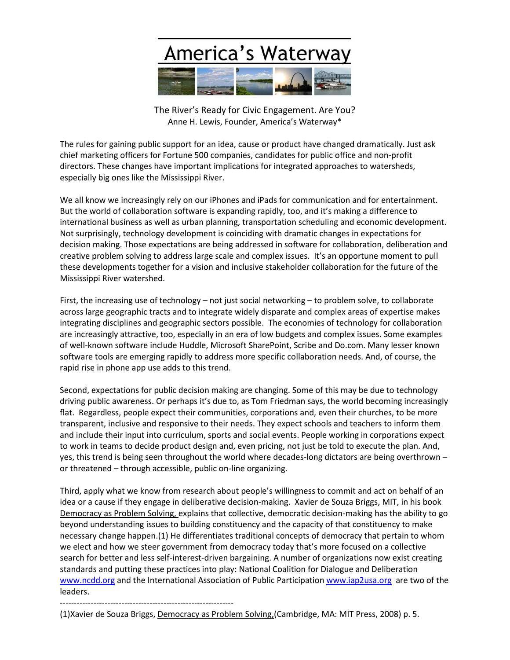

The River's Ready for Civic Engagement. Are You? Anne H. Lewis, Founder, America's Waterway\*

The rules for gaining public support for an idea, cause or product have changed dramatically. Just ask chief marketing officers for Fortune 500 companies, candidates for public office and non-profit directors. These changes have important implications for integrated approaches to watersheds, especially big ones like the Mississippi River.

We all know we increasingly rely on our iPhones and iPads for communication and for entertainment. But the world of collaboration software is expanding rapidly, too, and it's making a difference to international business as well as urban planning, transportation scheduling and economic development. Not surprisingly, technology development is coinciding with dramatic changes in expectations for decision making. Those expectations are being addressed in software for collaboration, deliberation and creative problem solving to address large scale and complex issues. It's an opportune moment to pull these developments together for a vision and inclusive stakeholder collaboration for the future of the Mississippi River watershed.

First, the increasing use of technology – not just social networking – to problem solve, to collaborate across large geographic tracts and to integrate widely disparate and complex areas of expertise makes integrating disciplines and geographic sectors possible. The economies of technology for collaboration are increasingly attractive, too, especially in an era of low budgets and complex issues. Some examples of well-known software include Huddle, Microsoft SharePoint, Scribe and Do.com. Many lesser known software tools are emerging rapidly to address more specific collaboration needs. And, of course, the rapid rise in phone app use adds to this trend.

Second, expectations for public decision making are changing. Some of this may be due to technology driving public awareness. Or perhaps it's due to, as Tom Friedman says, the world becoming increasingly flat. Regardless, people expect their communities, corporations and, even their churches, to be more transparent, inclusive and responsive to their needs. They expect schools and teachers to inform them and include their input into curriculum, sports and social events. People working in corporations expect to work in teams to decide product design and, even pricing, not just be told to execute the plan. And, yes, this trend is being seen throughout the world where decades-long dictators are being overthrown – or threatened – through accessible, public on-line organizing.

Third, apply what we know from research about people's willingness to commit and act on behalf of an idea or a cause if they engage in deliberative decision-making. Xavier de Souza Briggs, MIT, in his book Democracy as Problem Solving, explains that collective, democratic decision-making has the ability to go beyond understanding issues to building constituency and the capacity of that constituency to make necessary change happen.(1) He differentiates traditional concepts of democracy that pertain to whom we elect and how we steer government from democracy today that's more focused on a collective search for better and less self-interest-driven bargaining. A number of organizations now exist creating standards and putting these practices into play: National Coalition for Dialogue and Deliberation [www.ncdd.org](http://www.ncdd.org/) and the International Association of Public Participation [www.iap2usa.org](http://www.iap2usa.org/) are two of the leaders.

--------------------------------------------------------------

(1)Xavier de Souza Briggs, Democracy as Problem Solving, (Cambridge, MA: MIT Press, 2008) p. 5.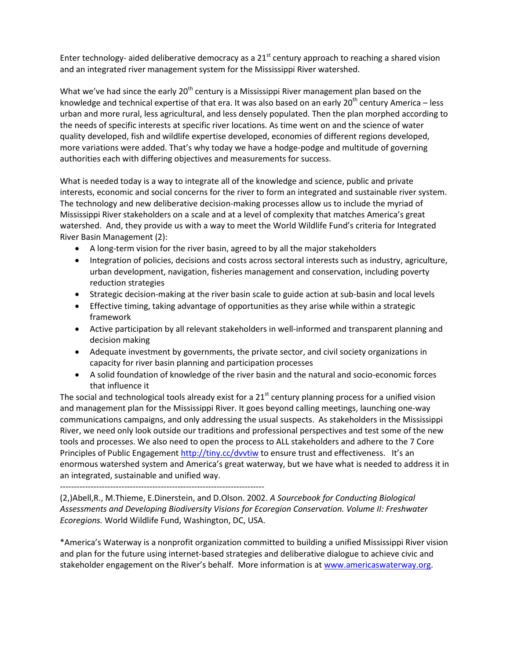Enter technology- aided deliberative democracy as a  $21<sup>st</sup>$  century approach to reaching a shared vision and an integrated river management system for the Mississippi River watershed.

What we've had since the early  $20<sup>th</sup>$  century is a Mississippi River management plan based on the knowledge and technical expertise of that era. It was also based on an early 20<sup>th</sup> century America – less urban and more rural, less agricultural, and less densely populated. Then the plan morphed according to the needs of specific interests at specific river locations. As time went on and the science of water quality developed, fish and wildlife expertise developed, economies of different regions developed, more variations were added. That's why today we have a hodge-podge and multitude of governing authorities each with differing objectives and measurements for success.

What is needed today is a way to integrate all of the knowledge and science, public and private interests, economic and social concerns for the river to form an integrated and sustainable river system. The technology and new deliberative decision-making processes allow us to include the myriad of Mississippi River stakeholders on a scale and at a level of complexity that matches America's great watershed. And, they provide us with a way to meet the World Wildlife Fund's criteria for Integrated River Basin Management (2):

- A long-term vision for the river basin, agreed to by all the major stakeholders
- Integration of policies, decisions and costs across sectoral interests such as industry, agriculture, urban development, navigation, fisheries management and conservation, including poverty reduction strategies
- Strategic decision-making at the river basin scale to guide action at sub-basin and local levels
- Effective timing, taking advantage of opportunities as they arise while within a strategic framework
- Active participation by all relevant stakeholders in well-informed and transparent planning and decision making
- Adequate investment by governments, the private sector, and civil society organizations in capacity for river basin planning and participation processes
- A solid foundation of knowledge of the river basin and the natural and socio-economic forces that influence it

The social and technological tools already exist for a  $21<sup>st</sup>$  century planning process for a unified vision and management plan for the Mississippi River. It goes beyond calling meetings, launching one-way communications campaigns, and only addressing the usual suspects. As stakeholders in the Mississippi River, we need only look outside our traditions and professional perspectives and test some of the new tools and processes. We also need to open the process to ALL stakeholders and adhere to the 7 Core Principles of Public Engagement <http://tiny.cc/dvvtiw> to ensure trust and effectiveness. It's an enormous watershed system and America's great waterway, but we have what is needed to address it in an integrated, sustainable and unified way.

-------------------------------------------------------------------------

(2,)Abell,R., M.Thieme, E.Dinerstein, and D.Olson. 2002. *A Sourcebook for Conducting Biological Assessments and Developing Biodiversity Visions for Ecoregion Conservation. Volume II: Freshwater Ecoregions.* World Wildlife Fund, Washington, DC, USA.

\*America's Waterway is a nonprofit organization committed to building a unified Mississippi River vision and plan for the future using internet-based strategies and deliberative dialogue to achieve civic and stakeholder engagement on the River's behalf. More information is at [www.americaswaterway.org.](http://www.americaswaterway.org/)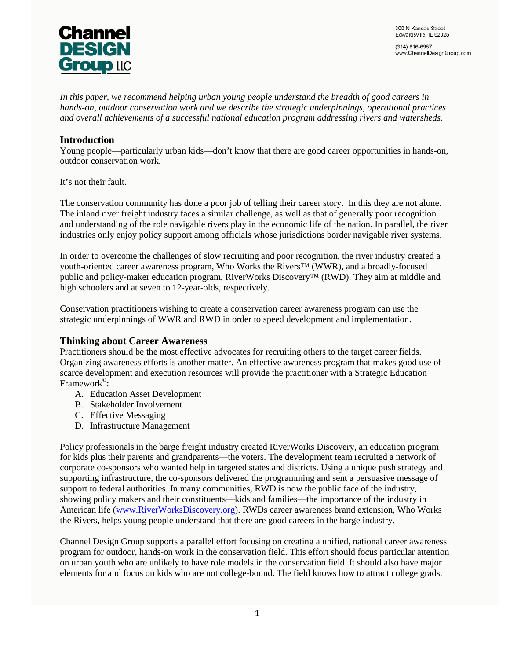

 $(314) 616-6957$ www.ChannelDesignGroup.com

*In this paper, we recommend helping urban young people understand the breadth of good careers in hands-on, outdoor conservation work and we describe the strategic underpinnings, operational practices and overall achievements of a successful national education program addressing rivers and watersheds.*

### **Introduction**

Young people—particularly urban kids—don't know that there are good career opportunities in hands-on, outdoor conservation work.

It's not their fault.

The conservation community has done a poor job of telling their career story. In this they are not alone. The inland river freight industry faces a similar challenge, as well as that of generally poor recognition and understanding of the role navigable rivers play in the economic life of the nation. In parallel, the river industries only enjoy policy support among officials whose jurisdictions border navigable river systems.

In order to overcome the challenges of slow recruiting and poor recognition, the river industry created a youth-oriented career awareness program, Who Works the Rivers™ (WWR), and a broadly-focused public and policy-maker education program, RiverWorks Discovery™ (RWD). They aim at middle and high schoolers and at seven to 12-year-olds, respectively.

Conservation practitioners wishing to create a conservation career awareness program can use the strategic underpinnings of WWR and RWD in order to speed development and implementation.

### **Thinking about Career Awareness**

Practitioners should be the most effective advocates for recruiting others to the target career fields. Organizing awareness efforts is another matter. An effective awareness program that makes good use of scarce development and execution resources will provide the practitioner with a Strategic Education Framework<sup>©</sup>:

- A. Education Asset Development
- B. Stakeholder Involvement
- C. Effective Messaging
- D. Infrastructure Management

Policy professionals in the barge freight industry created RiverWorks Discovery, an education program for kids plus their parents and grandparents—the voters. The development team recruited a network of corporate co-sponsors who wanted help in targeted states and districts. Using a unique push strategy and supporting infrastructure, the co-sponsors delivered the programming and sent a persuasive message of support to federal authorities. In many communities, RWD is now the public face of the industry, showing policy makers and their constituents—kids and families—the importance of the industry in American life [\(www.RiverWorksDiscovery.org\)](http://www.riverworksdiscovery.org/). RWDs career awareness brand extension, Who Works the Rivers, helps young people understand that there are good careers in the barge industry.

Channel Design Group supports a parallel effort focusing on creating a unified, national career awareness program for outdoor, hands-on work in the conservation field. This effort should focus particular attention on urban youth who are unlikely to have role models in the conservation field. It should also have major elements for and focus on kids who are not college-bound. The field knows how to attract college grads.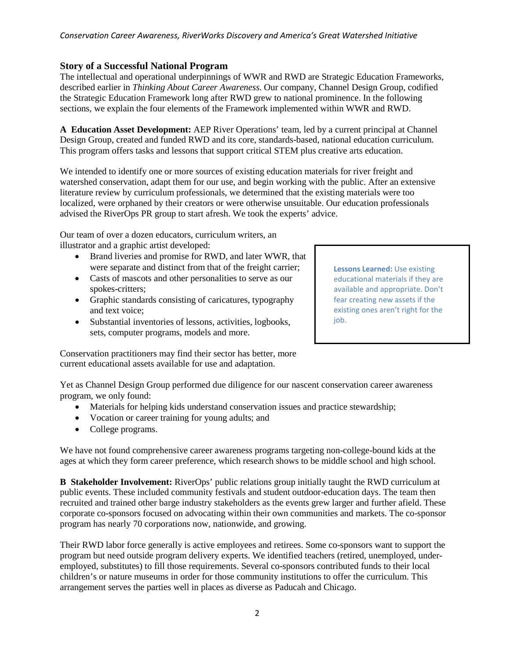### **Story of a Successful National Program**

The intellectual and operational underpinnings of WWR and RWD are Strategic Education Frameworks, described earlier in *Thinking About Career Awareness*. Our company, Channel Design Group, codified the Strategic Education Framework long after RWD grew to national prominence. In the following sections, we explain the four elements of the Framework implemented within WWR and RWD.

**A Education Asset Development:** AEP River Operations' team, led by a current principal at Channel Design Group, created and funded RWD and its core, standards-based, national education curriculum. This program offers tasks and lessons that support critical STEM plus creative arts education.

We intended to identify one or more sources of existing education materials for river freight and watershed conservation, adapt them for our use, and begin working with the public. After an extensive literature review by curriculum professionals, we determined that the existing materials were too localized, were orphaned by their creators or were otherwise unsuitable. Our education professionals advised the RiverOps PR group to start afresh. We took the experts' advice.

Our team of over a dozen educators, curriculum writers, an illustrator and a graphic artist developed:

- Brand liveries and promise for RWD, and later WWR, that were separate and distinct from that of the freight carrier;
- Casts of mascots and other personalities to serve as our spokes-critters;
- Graphic standards consisting of caricatures, typography and text voice;
- Substantial inventories of lessons, activities, logbooks, sets, computer programs, models and more.

**Lessons Learned:** Use existing educational materials if they are available and appropriate. Don't fear creating new assets if the existing ones aren't right for the job.

Conservation practitioners may find their sector has better, more current educational assets available for use and adaptation.

Yet as Channel Design Group performed due diligence for our nascent conservation career awareness program, we only found:

- Materials for helping kids understand conservation issues and practice stewardship;
- Vocation or career training for young adults; and
- College programs.

We have not found comprehensive career awareness programs targeting non-college-bound kids at the ages at which they form career preference, which research shows to be middle school and high school.

**B Stakeholder Involvement:** RiverOps' public relations group initially taught the RWD curriculum at public events. These included community festivals and student outdoor-education days. The team then recruited and trained other barge industry stakeholders as the events grew larger and further afield. These corporate co-sponsors focused on advocating within their own communities and markets. The co-sponsor program has nearly 70 corporations now, nationwide, and growing.

Their RWD labor force generally is active employees and retirees. Some co-sponsors want to support the program but need outside program delivery experts. We identified teachers (retired, unemployed, underemployed, substitutes) to fill those requirements. Several co-sponsors contributed funds to their local children's or nature museums in order for those community institutions to offer the curriculum. This arrangement serves the parties well in places as diverse as Paducah and Chicago.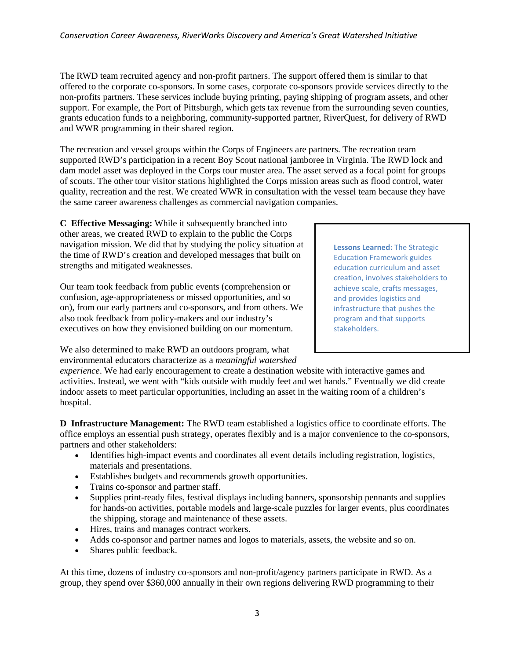The RWD team recruited agency and non-profit partners. The support offered them is similar to that offered to the corporate co-sponsors. In some cases, corporate co-sponsors provide services directly to the non-profits partners. These services include buying printing, paying shipping of program assets, and other support. For example, the Port of Pittsburgh, which gets tax revenue from the surrounding seven counties, grants education funds to a neighboring, community-supported partner, RiverQuest, for delivery of RWD and WWR programming in their shared region.

The recreation and vessel groups within the Corps of Engineers are partners. The recreation team supported RWD's participation in a recent Boy Scout national jamboree in Virginia. The RWD lock and dam model asset was deployed in the Corps tour muster area. The asset served as a focal point for groups of scouts. The other tour visitor stations highlighted the Corps mission areas such as flood control, water quality, recreation and the rest. We created WWR in consultation with the vessel team because they have the same career awareness challenges as commercial navigation companies.

**C Effective Messaging:** While it subsequently branched into other areas, we created RWD to explain to the public the Corps navigation mission. We did that by studying the policy situation at the time of RWD's creation and developed messages that built on strengths and mitigated weaknesses.

Our team took feedback from public events (comprehension or confusion, age-appropriateness or missed opportunities, and so on), from our early partners and co-sponsors, and from others. We also took feedback from policy-makers and our industry's executives on how they envisioned building on our momentum.

We also determined to make RWD an outdoors program, what environmental educators characterize as a *meaningful watershed* 

**Lessons Learned:** The Strategic Education Framework guides education curriculum and asset creation, involves stakeholders to achieve scale, crafts messages, and provides logistics and infrastructure that pushes the program and that supports stakeholders.

*experience*. We had early encouragement to create a destination website with interactive games and activities. Instead, we went with "kids outside with muddy feet and wet hands." Eventually we did create indoor assets to meet particular opportunities, including an asset in the waiting room of a children's hospital.

**D Infrastructure Management:** The RWD team established a logistics office to coordinate efforts. The office employs an essential push strategy, operates flexibly and is a major convenience to the co-sponsors, partners and other stakeholders:

- Identifies high-impact events and coordinates all event details including registration, logistics, materials and presentations.
- Establishes budgets and recommends growth opportunities.
- Trains co-sponsor and partner staff.
- Supplies print-ready files, festival displays including banners, sponsorship pennants and supplies for hands-on activities, portable models and large-scale puzzles for larger events, plus coordinates the shipping, storage and maintenance of these assets.
- Hires, trains and manages contract workers.
- Adds co-sponsor and partner names and logos to materials, assets, the website and so on.
- Shares public feedback.

At this time, dozens of industry co-sponsors and non-profit/agency partners participate in RWD. As a group, they spend over \$360,000 annually in their own regions delivering RWD programming to their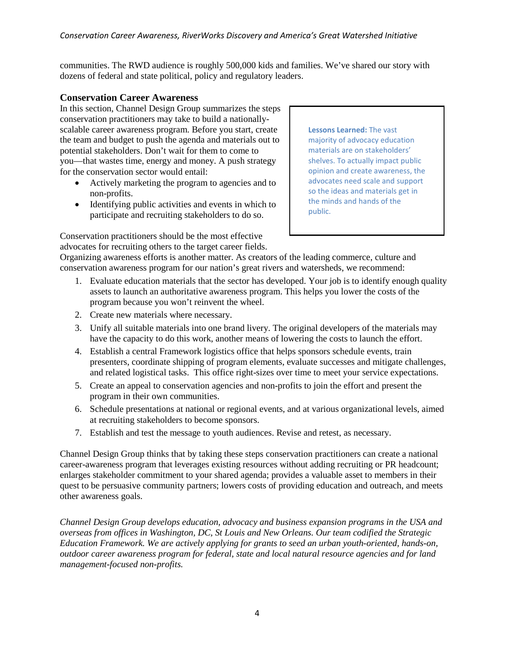communities. The RWD audience is roughly 500,000 kids and families. We've shared our story with dozens of federal and state political, policy and regulatory leaders.

### **Conservation Career Awareness**

In this section, Channel Design Group summarizes the steps conservation practitioners may take to build a nationallyscalable career awareness program. Before you start, create the team and budget to push the agenda and materials out to potential stakeholders. Don't wait for them to come to you—that wastes time, energy and money. A push strategy for the conservation sector would entail:

- Actively marketing the program to agencies and to non-profits.
- Identifying public activities and events in which to participate and recruiting stakeholders to do so.

Conservation practitioners should be the most effective advocates for recruiting others to the target career fields. **Lessons Learned:** The vast majority of advocacy education materials are on stakeholders' shelves. To actually impact public opinion and create awareness, the advocates need scale and support so the ideas and materials get in the minds and hands of the public.

Organizing awareness efforts is another matter. As creators of the leading commerce, culture and conservation awareness program for our nation's great rivers and watersheds, we recommend:

- 1. Evaluate education materials that the sector has developed. Your job is to identify enough quality assets to launch an authoritative awareness program. This helps you lower the costs of the program because you won't reinvent the wheel.
- 2. Create new materials where necessary.
- 3. Unify all suitable materials into one brand livery. The original developers of the materials may have the capacity to do this work, another means of lowering the costs to launch the effort.
- 4. Establish a central Framework logistics office that helps sponsors schedule events, train presenters, coordinate shipping of program elements, evaluate successes and mitigate challenges, and related logistical tasks. This office right-sizes over time to meet your service expectations.
- 5. Create an appeal to conservation agencies and non-profits to join the effort and present the program in their own communities.
- 6. Schedule presentations at national or regional events, and at various organizational levels, aimed at recruiting stakeholders to become sponsors.
- 7. Establish and test the message to youth audiences. Revise and retest, as necessary.

Channel Design Group thinks that by taking these steps conservation practitioners can create a national career-awareness program that leverages existing resources without adding recruiting or PR headcount; enlarges stakeholder commitment to your shared agenda; provides a valuable asset to members in their quest to be persuasive community partners; lowers costs of providing education and outreach, and meets other awareness goals.

*Channel Design Group develops education, advocacy and business expansion programs in the USA and overseas from offices in Washington, DC, St Louis and New Orleans. Our team codified the Strategic Education Framework. We are actively applying for grants to seed an urban youth-oriented, hands-on, outdoor career awareness program for federal, state and local natural resource agencies and for land management-focused non-profits.*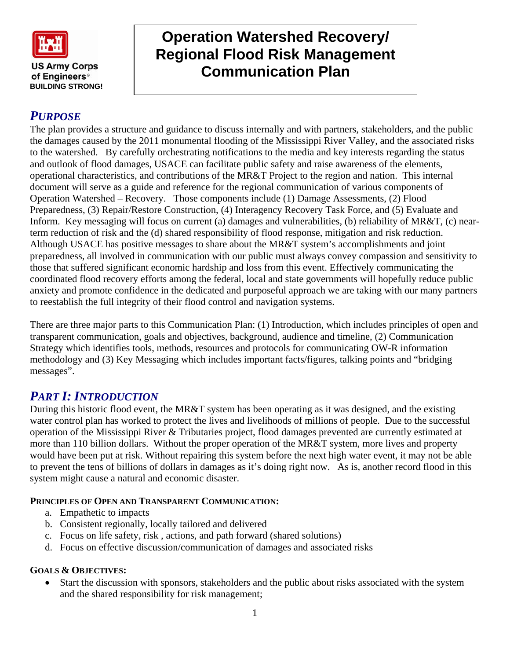

**BUILDING STRONG!** 

# **Operation Watershed Recovery/ Regional Flood Risk Management Communication Plan**

## *PURPOSE*

The plan provides a structure and guidance to discuss internally and with partners, stakeholders, and the public the damages caused by the 2011 monumental flooding of the Mississippi River Valley, and the associated risks to the watershed. By carefully orchestrating notifications to the media and key interests regarding the status and outlook of flood damages, USACE can facilitate public safety and raise awareness of the elements, operational characteristics, and contributions of the MR&T Project to the region and nation. This internal document will serve as a guide and reference for the regional communication of various components of Operation Watershed – Recovery. Those components include (1) Damage Assessments, (2) Flood Preparedness, (3) Repair/Restore Construction, (4) Interagency Recovery Task Force, and (5) Evaluate and Inform. Key messaging will focus on current (a) damages and vulnerabilities, (b) reliability of MR&T, (c) nearterm reduction of risk and the (d) shared responsibility of flood response, mitigation and risk reduction. Although USACE has positive messages to share about the MR&T system's accomplishments and joint preparedness, all involved in communication with our public must always convey compassion and sensitivity to those that suffered significant economic hardship and loss from this event. Effectively communicating the coordinated flood recovery efforts among the federal, local and state governments will hopefully reduce public anxiety and promote confidence in the dedicated and purposeful approach we are taking with our many partners to reestablish the full integrity of their flood control and navigation systems.

There are three major parts to this Communication Plan: (1) Introduction, which includes principles of open and transparent communication, goals and objectives, background, audience and timeline, (2) Communication Strategy which identifies tools, methods, resources and protocols for communicating OW-R information methodology and (3) Key Messaging which includes important facts/figures, talking points and "bridging messages".

## *PART I: INTRODUCTION*

During this historic flood event, the MR&T system has been operating as it was designed, and the existing water control plan has worked to protect the lives and livelihoods of millions of people. Due to the successful operation of the Mississippi River & Tributaries project, flood damages prevented are currently estimated at more than 110 billion dollars. Without the proper operation of the MR&T system, more lives and property would have been put at risk. Without repairing this system before the next high water event, it may not be able to prevent the tens of billions of dollars in damages as it's doing right now. As is, another record flood in this system might cause a natural and economic disaster.

## **PRINCIPLES OF OPEN AND TRANSPARENT COMMUNICATION:**

- a. Empathetic to impacts
- b. Consistent regionally, locally tailored and delivered
- c. Focus on life safety, risk , actions, and path forward (shared solutions)
- d. Focus on effective discussion/communication of damages and associated risks

### **GOALS & OBJECTIVES:**

• Start the discussion with sponsors, stakeholders and the public about risks associated with the system and the shared responsibility for risk management;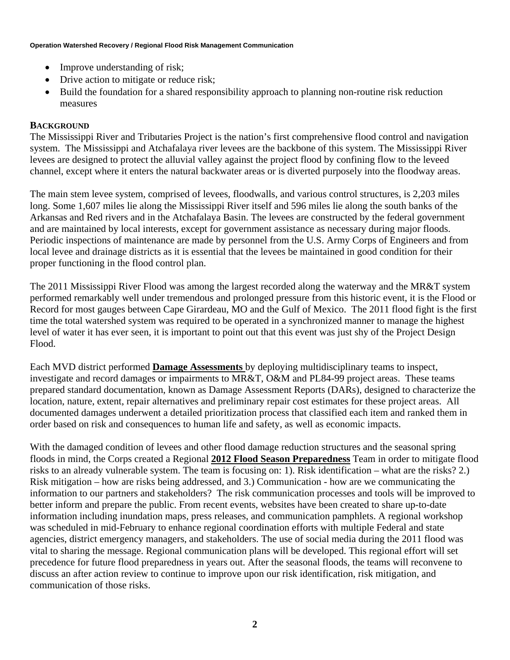- Improve understanding of risk;
- Drive action to mitigate or reduce risk;
- Build the foundation for a shared responsibility approach to planning non-routine risk reduction measures

## **BACKGROUND**

The Mississippi River and Tributaries Project is the nation's first comprehensive flood control and navigation system. The Mississippi and Atchafalaya river levees are the backbone of this system. The Mississippi River levees are designed to protect the alluvial valley against the project flood by confining flow to the leveed channel, except where it enters the natural backwater areas or is diverted purposely into the floodway areas.

The main stem levee system, comprised of levees, floodwalls, and various control structures, is 2,203 miles long. Some 1,607 miles lie along the Mississippi River itself and 596 miles lie along the south banks of the Arkansas and Red rivers and in the Atchafalaya Basin. The levees are constructed by the federal government and are maintained by local interests, except for government assistance as necessary during major floods. Periodic inspections of maintenance are made by personnel from the U.S. Army Corps of Engineers and from local levee and drainage districts as it is essential that the levees be maintained in good condition for their proper functioning in the flood control plan.

The 2011 Mississippi River Flood was among the largest recorded along the waterway and the MR&T system performed remarkably well under tremendous and prolonged pressure from this historic event, it is the Flood or Record for most gauges between Cape Girardeau, MO and the Gulf of Mexico. The 2011 flood fight is the first time the total watershed system was required to be operated in a synchronized manner to manage the highest level of water it has ever seen, it is important to point out that this event was just shy of the Project Design Flood.

Each MVD district performed **Damage Assessments** by deploying multidisciplinary teams to inspect, investigate and record damages or impairments to MR&T, O&M and PL84-99 project areas. These teams prepared standard documentation, known as Damage Assessment Reports (DARs), designed to characterize the location, nature, extent, repair alternatives and preliminary repair cost estimates for these project areas. All documented damages underwent a detailed prioritization process that classified each item and ranked them in order based on risk and consequences to human life and safety, as well as economic impacts.

With the damaged condition of levees and other flood damage reduction structures and the seasonal spring floods in mind, the Corps created a Regional **2012 Flood Season Preparedness** Team in order to mitigate flood risks to an already vulnerable system. The team is focusing on: 1). Risk identification – what are the risks? 2.) Risk mitigation – how are risks being addressed, and 3.) Communication - how are we communicating the information to our partners and stakeholders? The risk communication processes and tools will be improved to better inform and prepare the public. From recent events, websites have been created to share up-to-date information including inundation maps, press releases, and communication pamphlets. A regional workshop was scheduled in mid-February to enhance regional coordination efforts with multiple Federal and state agencies, district emergency managers, and stakeholders. The use of social media during the 2011 flood was vital to sharing the message. Regional communication plans will be developed. This regional effort will set precedence for future flood preparedness in years out. After the seasonal floods, the teams will reconvene to discuss an after action review to continue to improve upon our risk identification, risk mitigation, and communication of those risks.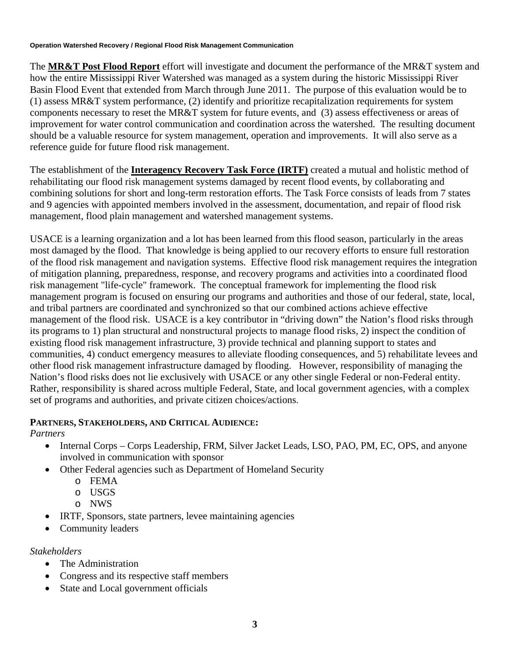The **MR&T Post Flood Report** effort will investigate and document the performance of the MR&T system and how the entire Mississippi River Watershed was managed as a system during the historic Mississippi River Basin Flood Event that extended from March through June 2011. The purpose of this evaluation would be to (1) assess MR&T system performance, (2) identify and prioritize recapitalization requirements for system components necessary to reset the MR&T system for future events, and (3) assess effectiveness or areas of improvement for water control communication and coordination across the watershed. The resulting document should be a valuable resource for system management, operation and improvements. It will also serve as a reference guide for future flood risk management.

The establishment of the **Interagency Recovery Task Force (IRTF)** created a mutual and holistic method of rehabilitating our flood risk management systems damaged by recent flood events, by collaborating and combining solutions for short and long-term restoration efforts. The Task Force consists of leads from 7 states and 9 agencies with appointed members involved in the assessment, documentation, and repair of flood risk management, flood plain management and watershed management systems.

USACE is a learning organization and a lot has been learned from this flood season, particularly in the areas most damaged by the flood. That knowledge is being applied to our recovery efforts to ensure full restoration of the flood risk management and navigation systems. Effective flood risk management requires the integration of mitigation planning, preparedness, response, and recovery programs and activities into a coordinated flood risk management "life-cycle" framework. The conceptual framework for implementing the flood risk management program is focused on ensuring our programs and authorities and those of our federal, state, local, and tribal partners are coordinated and synchronized so that our combined actions achieve effective management of the flood risk. USACE is a key contributor in "driving down" the Nation's flood risks through its programs to 1) plan structural and nonstructural projects to manage flood risks, 2) inspect the condition of existing flood risk management infrastructure, 3) provide technical and planning support to states and communities, 4) conduct emergency measures to alleviate flooding consequences, and 5) rehabilitate levees and other flood risk management infrastructure damaged by flooding. However, responsibility of managing the Nation's flood risks does not lie exclusively with USACE or any other single Federal or non-Federal entity. Rather, responsibility is shared across multiple Federal, State, and local government agencies, with a complex set of programs and authorities, and private citizen choices/actions.

### **PARTNERS, STAKEHOLDERS, AND CRITICAL AUDIENCE:**

*Partners* 

- Internal Corps Corps Leadership, FRM, Silver Jacket Leads, LSO, PAO, PM, EC, OPS, and anyone involved in communication with sponsor
- Other Federal agencies such as Department of Homeland Security
	- o FEMA
	- o USGS
	- o NWS
- IRTF, Sponsors, state partners, levee maintaining agencies
- Community leaders

*Stakeholders* 

- The Administration
- Congress and its respective staff members
- State and Local government officials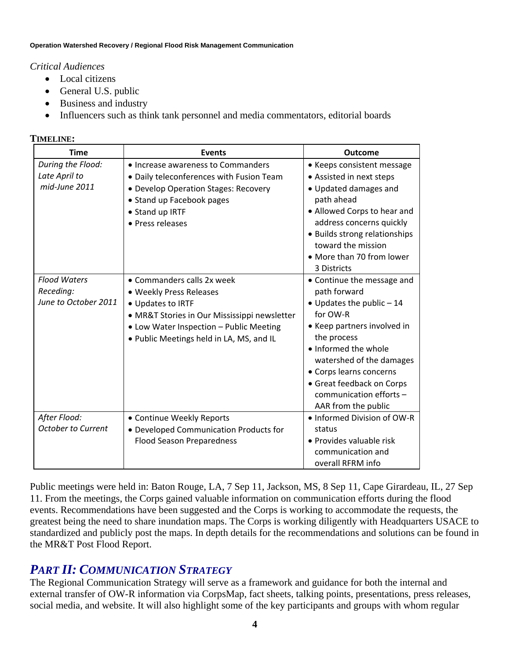## *Critical Audiences*

- Local citizens
- General U.S. public
- Business and industry
- Influencers such as think tank personnel and media commentators, editorial boards

## **TIMELINE:**

| <b>Time</b>                                              | <b>Events</b>                                                                                                                                                                                                     | <b>Outcome</b>                                                                                                                                                                                                                                                                                          |
|----------------------------------------------------------|-------------------------------------------------------------------------------------------------------------------------------------------------------------------------------------------------------------------|---------------------------------------------------------------------------------------------------------------------------------------------------------------------------------------------------------------------------------------------------------------------------------------------------------|
| During the Flood:<br>Late April to<br>mid-June 2011      | • Increase awareness to Commanders<br>• Daily teleconferences with Fusion Team<br>• Develop Operation Stages: Recovery<br>• Stand up Facebook pages<br>• Stand up IRTF<br>• Press releases                        | • Keeps consistent message<br>• Assisted in next steps<br>• Updated damages and<br>path ahead<br>• Allowed Corps to hear and<br>address concerns quickly<br>• Builds strong relationships<br>toward the mission<br>• More than 70 from lower<br>3 Districts                                             |
| <b>Flood Waters</b><br>Receding:<br>June to October 2011 | • Commanders calls 2x week<br>• Weekly Press Releases<br>• Updates to IRTF<br>• MR&T Stories in Our Mississippi newsletter<br>• Low Water Inspection - Public Meeting<br>. Public Meetings held in LA, MS, and IL | • Continue the message and<br>path forward<br>$\bullet$ Updates the public - 14<br>for OW-R<br>• Keep partners involved in<br>the process<br>• Informed the whole<br>watershed of the damages<br>• Corps learns concerns<br>• Great feedback on Corps<br>communication efforts -<br>AAR from the public |
| After Flood:<br><b>October to Current</b>                | • Continue Weekly Reports<br>• Developed Communication Products for<br><b>Flood Season Preparedness</b>                                                                                                           | • Informed Division of OW-R<br>status<br>• Provides valuable risk<br>communication and<br>overall RFRM info                                                                                                                                                                                             |

Public meetings were held in: Baton Rouge, LA, 7 Sep 11, Jackson, MS, 8 Sep 11, Cape Girardeau, IL, 27 Sep 11. From the meetings, the Corps gained valuable information on communication efforts during the flood events. Recommendations have been suggested and the Corps is working to accommodate the requests, the greatest being the need to share inundation maps. The Corps is working diligently with Headquarters USACE to standardized and publicly post the maps. In depth details for the recommendations and solutions can be found in the MR&T Post Flood Report.

## *PART II: COMMUNICATION STRATEGY*

The Regional Communication Strategy will serve as a framework and guidance for both the internal and external transfer of OW-R information via CorpsMap, fact sheets, talking points, presentations, press releases, social media, and website. It will also highlight some of the key participants and groups with whom regular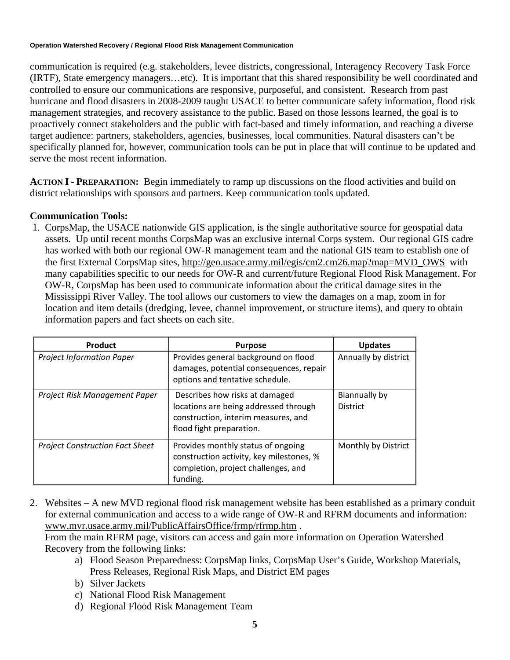communication is required (e.g. stakeholders, levee districts, congressional, Interagency Recovery Task Force (IRTF), State emergency managers…etc). It is important that this shared responsibility be well coordinated and controlled to ensure our communications are responsive, purposeful, and consistent. Research from past hurricane and flood disasters in 2008-2009 taught USACE to better communicate safety information, flood risk management strategies, and recovery assistance to the public. Based on those lessons learned, the goal is to proactively connect stakeholders and the public with fact-based and timely information, and reaching a diverse target audience: partners, stakeholders, agencies, businesses, local communities. Natural disasters can't be specifically planned for, however, communication tools can be put in place that will continue to be updated and serve the most recent information.

**ACTION I - PREPARATION:** Begin immediately to ramp up discussions on the flood activities and build on district relationships with sponsors and partners. Keep communication tools updated.

## **Communication Tools:**

1.CorpsMap, the USACE nationwide GIS application, is the single authoritative source for geospatial data assets. Up until recent months CorpsMap was an exclusive internal Corps system. Our regional GIS cadre has worked with both our regional OW-R management team and the national GIS team to establish one of the first External CorpsMap sites, [http://geo.usace.army.mil/egis/cm2.cm26.map?map=MVD\\_OWS](http://geo.usace.army.mil/egis/cm2.cm26.map?map=MVD_OWS) with many capabilities specific to our needs for OW-R and current/future Regional Flood Risk Management. For OW-R, CorpsMap has been used to communicate information about the critical damage sites in the Mississippi River Valley. The tool allows our customers to view the damages on a map, zoom in for location and item details (dredging, levee, channel improvement, or structure items), and query to obtain information papers and fact sheets on each site.

| Product                                | <b>Purpose</b>                                                                                                                             | <b>Updates</b>                   |
|----------------------------------------|--------------------------------------------------------------------------------------------------------------------------------------------|----------------------------------|
| <b>Project Information Paper</b>       | Provides general background on flood<br>damages, potential consequences, repair<br>options and tentative schedule.                         | Annually by district             |
| Project Risk Management Paper          | Describes how risks at damaged<br>locations are being addressed through<br>construction, interim measures, and<br>flood fight preparation. | Biannually by<br><b>District</b> |
| <b>Project Construction Fact Sheet</b> | Provides monthly status of ongoing<br>construction activity, key milestones, %<br>completion, project challenges, and<br>funding.          | Monthly by District              |

2. Websites – A new MVD regional flood risk management website has been established as a primary conduit for external communication and access to a wide range of OW-R and RFRM documents and information: [www.mvr.usace.army.mil/PublicAffairsOffice/frmp/rfrmp.htm](http://www.mvr.usace.army.mil/PublicAffairsOffice/frmp/rfrmp.htm) .

 From the main RFRM page, visitors can access and gain more information on Operation Watershed Recovery from the following links:

- a) Flood Season Preparedness: CorpsMap links, CorpsMap User's Guide, Workshop Materials, Press Releases, Regional Risk Maps, and District EM pages
- b) Silver Jackets
- c) National Flood Risk Management
- d) Regional Flood Risk Management Team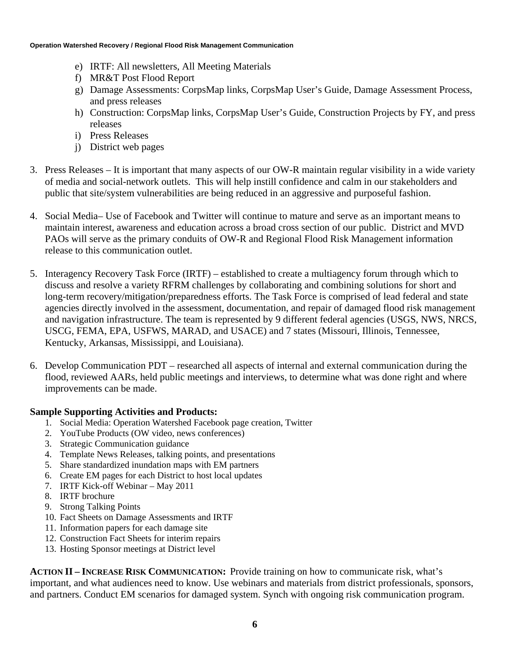- e) IRTF: All newsletters, All Meeting Materials
- f) MR&T Post Flood Report
- g) Damage Assessments: CorpsMap links, CorpsMap User's Guide, Damage Assessment Process, and press releases
- h) Construction: CorpsMap links, CorpsMap User's Guide, Construction Projects by FY, and press releases
- i) Press Releases
- j) District web pages
- 3. Press Releases It is important that many aspects of our OW-R maintain regular visibility in a wide variety of media and social-network outlets. This will help instill confidence and calm in our stakeholders and public that site/system vulnerabilities are being reduced in an aggressive and purposeful fashion.
- 4. Social Media– Use of Facebook and Twitter will continue to mature and serve as an important means to maintain interest, awareness and education across a broad cross section of our public. District and MVD PAOs will serve as the primary conduits of OW-R and Regional Flood Risk Management information release to this communication outlet.
- 5. Interagency Recovery Task Force (IRTF) established to create a multiagency forum through which to discuss and resolve a variety RFRM challenges by collaborating and combining solutions for short and long-term recovery/mitigation/preparedness efforts. The Task Force is comprised of lead federal and state agencies directly involved in the assessment, documentation, and repair of damaged flood risk management and navigation infrastructure. The team is represented by 9 different federal agencies (USGS, NWS, NRCS, USCG, FEMA, EPA, USFWS, MARAD, and USACE) and 7 states (Missouri, Illinois, Tennessee, Kentucky, Arkansas, Mississippi, and Louisiana).
- 6. Develop Communication PDT researched all aspects of internal and external communication during the flood, reviewed AARs, held public meetings and interviews, to determine what was done right and where improvements can be made.

## **Sample Supporting Activities and Products:**

- 1. Social Media: Operation Watershed Facebook page creation, Twitter
- 2. YouTube Products (OW video, news conferences)
- 3. Strategic Communication guidance
- 4. Template News Releases, talking points, and presentations
- 5. Share standardized inundation maps with EM partners
- 6. Create EM pages for each District to host local updates
- 7. IRTF Kick-off Webinar May 2011
- 8. IRTF brochure
- 9. Strong Talking Points
- 10. Fact Sheets on Damage Assessments and IRTF
- 11. Information papers for each damage site
- 12. Construction Fact Sheets for interim repairs
- 13. Hosting Sponsor meetings at District level

**ACTION II – INCREASE RISK COMMUNICATION:** Provide training on how to communicate risk, what's important, and what audiences need to know. Use webinars and materials from district professionals, sponsors, and partners. Conduct EM scenarios for damaged system. Synch with ongoing risk communication program.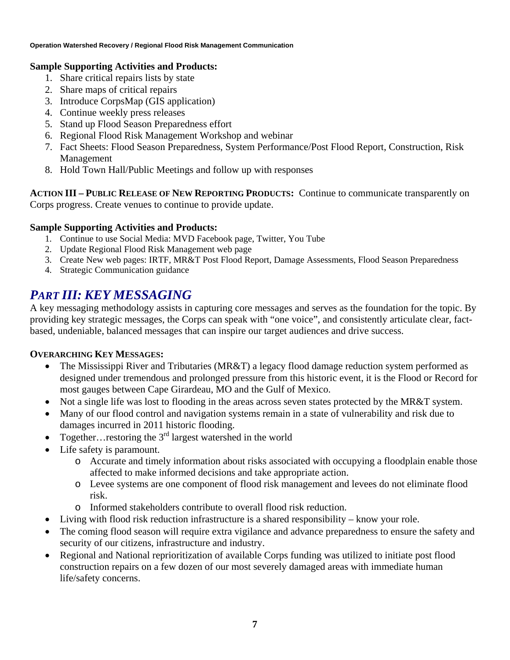### **Sample Supporting Activities and Products:**

- 1. Share critical repairs lists by state
- 2. Share maps of critical repairs
- 3. Introduce CorpsMap (GIS application)
- 4. Continue weekly press releases
- 5. Stand up Flood Season Preparedness effort
- 6. Regional Flood Risk Management Workshop and webinar
- 7. Fact Sheets: Flood Season Preparedness, System Performance/Post Flood Report, Construction, Risk Management
- 8. Hold Town Hall/Public Meetings and follow up with responses

**ACTION III – PUBLIC RELEASE OF NEW REPORTING PRODUCTS:** Continue to communicate transparently on Corps progress. Create venues to continue to provide update.

## **Sample Supporting Activities and Products:**

- 1. Continue to use Social Media: MVD Facebook page, Twitter, You Tube
- 2. Update Regional Flood Risk Management web page
- 3. Create New web pages: IRTF, MR&T Post Flood Report, Damage Assessments, Flood Season Preparedness
- 4. Strategic Communication guidance

## *PART III: KEY MESSAGING*

A key messaging methodology assists in capturing core messages and serves as the foundation for the topic. By providing key strategic messages, the Corps can speak with "one voice", and consistently articulate clear, factbased, undeniable, balanced messages that can inspire our target audiences and drive success.

## **OVERARCHING KEY MESSAGES:**

- The Mississippi River and Tributaries (MR&T) a legacy flood damage reduction system performed as designed under tremendous and prolonged pressure from this historic event, it is the Flood or Record for most gauges between Cape Girardeau, MO and the Gulf of Mexico.
- Not a single life was lost to flooding in the areas across seven states protected by the MR&T system.
- Many of our flood control and navigation systems remain in a state of vulnerability and risk due to damages incurred in 2011 historic flooding.
- Together... restoring the  $3<sup>rd</sup>$  largest watershed in the world
- Life safety is paramount.
	- o Accurate and timely information about risks associated with occupying a floodplain enable those affected to make informed decisions and take appropriate action.
	- o Levee systems are one component of flood risk management and levees do not eliminate flood risk.
	- o Informed stakeholders contribute to overall flood risk reduction.
- Living with flood risk reduction infrastructure is a shared responsibility know your role.
- The coming flood season will require extra vigilance and advance preparedness to ensure the safety and security of our citizens, infrastructure and industry.
- Regional and National reprioritization of available Corps funding was utilized to initiate post flood construction repairs on a few dozen of our most severely damaged areas with immediate human life/safety concerns.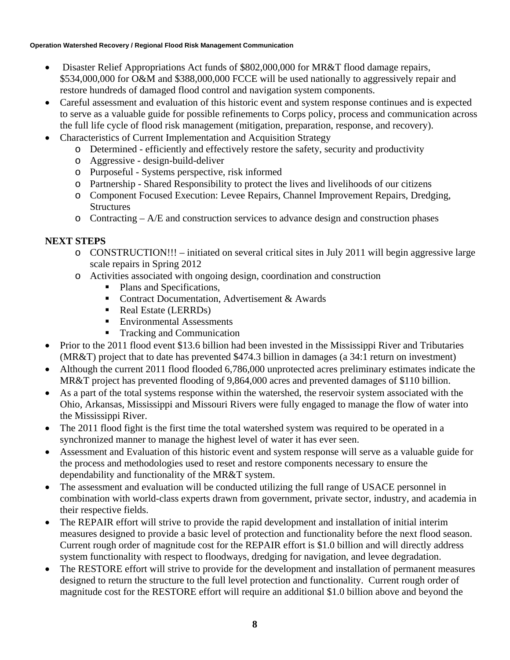- Disaster Relief Appropriations Act funds of \$802,000,000 for MR&T flood damage repairs, \$534,000,000 for O&M and \$388,000,000 FCCE will be used nationally to aggressively repair and restore hundreds of damaged flood control and navigation system components.
- Careful assessment and evaluation of this historic event and system response continues and is expected to serve as a valuable guide for possible refinements to Corps policy, process and communication across the full life cycle of flood risk management (mitigation, preparation, response, and recovery).
- Characteristics of Current Implementation and Acquisition Strategy
	- o Determined efficiently and effectively restore the safety, security and productivity
	- o Aggressive design-build-deliver
	- o Purposeful Systems perspective, risk informed
	- o Partnership Shared Responsibility to protect the lives and livelihoods of our citizens
	- o Component Focused Execution: Levee Repairs, Channel Improvement Repairs, Dredging, **Structures**
	- $\circ$  Contracting A/E and construction services to advance design and construction phases

## **NEXT STEPS**

- $\circ$  CONSTRUCTION!!! initiated on several critical sites in July 2011 will begin aggressive large scale repairs in Spring 2012
- o Activities associated with ongoing design, coordination and construction
	- Plans and Specifications,
	- Contract Documentation, Advertisement & Awards
	- Real Estate (LERRDs)
	- **Environmental Assessments**
	- **Tracking and Communication**
- Prior to the 2011 flood event \$13.6 billion had been invested in the Mississippi River and Tributaries (MR&T) project that to date has prevented \$474.3 billion in damages (a 34:1 return on investment)
- Although the current 2011 flood flooded 6,786,000 unprotected acres preliminary estimates indicate the MR&T project has prevented flooding of 9,864,000 acres and prevented damages of \$110 billion.
- As a part of the total systems response within the watershed, the reservoir system associated with the Ohio, Arkansas, Mississippi and Missouri Rivers were fully engaged to manage the flow of water into the Mississippi River.
- The 2011 flood fight is the first time the total watershed system was required to be operated in a synchronized manner to manage the highest level of water it has ever seen.
- Assessment and Evaluation of this historic event and system response will serve as a valuable guide for the process and methodologies used to reset and restore components necessary to ensure the dependability and functionality of the MR&T system.
- The assessment and evaluation will be conducted utilizing the full range of USACE personnel in combination with world-class experts drawn from government, private sector, industry, and academia in their respective fields.
- The REPAIR effort will strive to provide the rapid development and installation of initial interim measures designed to provide a basic level of protection and functionality before the next flood season. Current rough order of magnitude cost for the REPAIR effort is \$1.0 billion and will directly address system functionality with respect to floodways, dredging for navigation, and levee degradation.
- The RESTORE effort will strive to provide for the development and installation of permanent measures designed to return the structure to the full level protection and functionality. Current rough order of magnitude cost for the RESTORE effort will require an additional \$1.0 billion above and beyond the